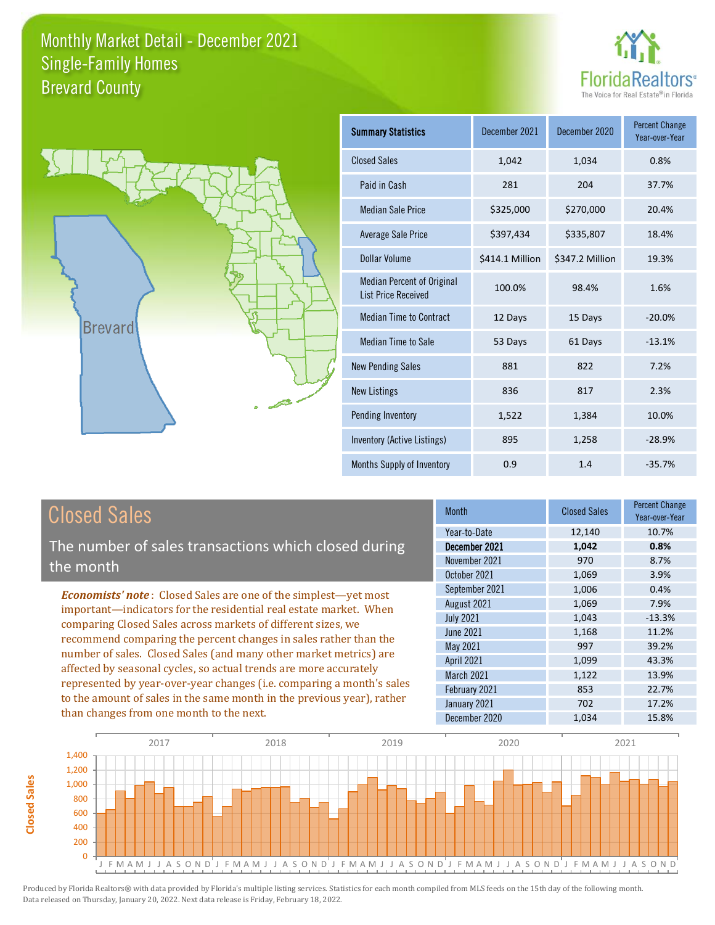



| <b>Summary Statistics</b>                                       | December 2021   | December 2020   | <b>Percent Change</b><br>Year-over-Year |
|-----------------------------------------------------------------|-----------------|-----------------|-----------------------------------------|
| <b>Closed Sales</b>                                             | 1,042           | 1,034           | 0.8%                                    |
| Paid in Cash                                                    | 281             | 204             | 37.7%                                   |
| <b>Median Sale Price</b>                                        | \$325,000       | \$270,000       | 20.4%                                   |
| Average Sale Price                                              | \$397,434       | \$335,807       | 18.4%                                   |
| Dollar Volume                                                   | \$414.1 Million | \$347.2 Million | 19.3%                                   |
| <b>Median Percent of Original</b><br><b>List Price Received</b> | 100.0%          | 98.4%           | 1.6%                                    |
| <b>Median Time to Contract</b>                                  | 12 Days         | 15 Days         | $-20.0%$                                |
| Median Time to Sale                                             | 53 Days         | 61 Days         | $-13.1%$                                |
| <b>New Pending Sales</b>                                        | 881             | 822             | 7.2%                                    |
| <b>New Listings</b>                                             | 836             | 817             | 2.3%                                    |
| Pending Inventory                                               | 1,522           | 1,384           | 10.0%                                   |
| Inventory (Active Listings)                                     | 895             | 1,258           | $-28.9%$                                |
| Months Supply of Inventory                                      | 0.9             | 1.4             | $-35.7%$                                |

# Closed Sales

The number of sales transactions which closed during the month

*Economists' note* : Closed Sales are one of the simplest—yet most important—indicators for the residential real estate market. When comparing Closed Sales across markets of different sizes, we recommend comparing the percent changes in sales rather than the number of sales. Closed Sales (and many other market metrics) are affected by seasonal cycles, so actual trends are more accurately represented by year-over-year changes (i.e. comparing a month's sales to the amount of sales in the same month in the previous year), rather than changes from one month to the next.

| <b>Month</b>      | <b>Closed Sales</b> | <b>Percent Change</b><br>Year-over-Year |
|-------------------|---------------------|-----------------------------------------|
| Year-to-Date      | 12,140              | 10.7%                                   |
| December 2021     | 1,042               | 0.8%                                    |
| November 2021     | 970                 | 8.7%                                    |
| October 2021      | 1,069               | 3.9%                                    |
| September 2021    | 1,006               | 0.4%                                    |
| August 2021       | 1,069               | 7.9%                                    |
| <b>July 2021</b>  | 1,043               | $-13.3%$                                |
| <b>June 2021</b>  | 1,168               | 11.2%                                   |
| May 2021          | 997                 | 39.2%                                   |
| April 2021        | 1,099               | 43.3%                                   |
| <b>March 2021</b> | 1,122               | 13.9%                                   |
| February 2021     | 853                 | 22.7%                                   |
| January 2021      | 702                 | 17.2%                                   |
| December 2020     | 1,034               | 15.8%                                   |

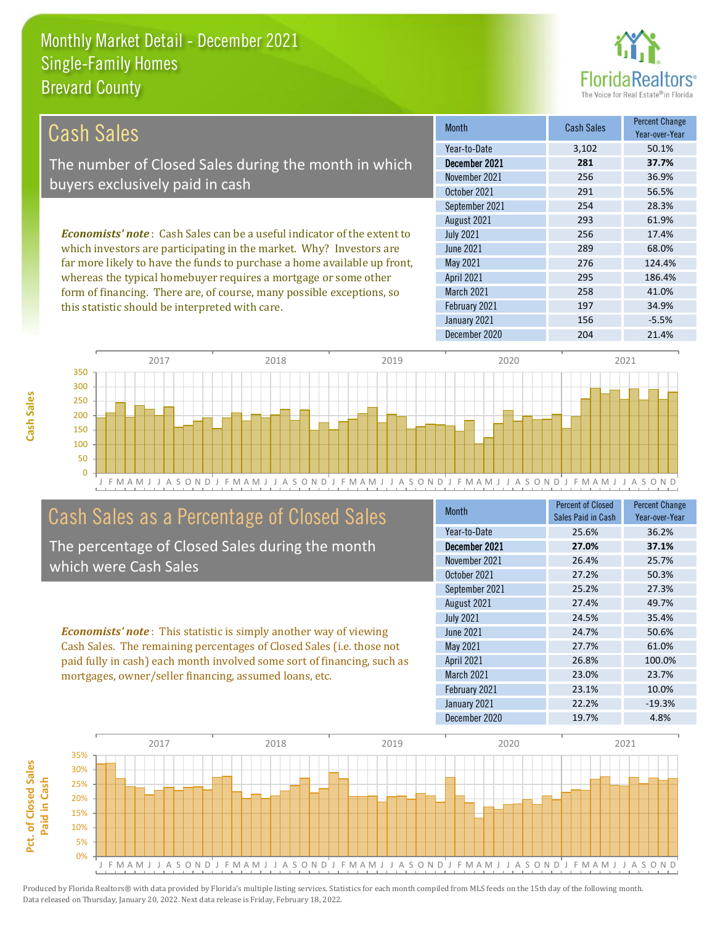this statistic should be interpreted with care.



197 34.9%

| Cash Sales                                                                     | <b>Month</b>      | <b>Cash Sales</b> | <b>Percent Change</b><br>Year-over-Year |
|--------------------------------------------------------------------------------|-------------------|-------------------|-----------------------------------------|
|                                                                                | Year-to-Date      | 3.102             | 50.1%                                   |
| The number of Closed Sales during the month in which                           | December 2021     | 281               | 37.7%                                   |
| buyers exclusively paid in cash                                                | November 2021     | 256               | 36.9%                                   |
|                                                                                | October 2021      | 291               | 56.5%                                   |
|                                                                                | September 2021    | 254               | 28.3%                                   |
|                                                                                | August 2021       | 293               | 61.9%                                   |
| <b>Economists' note:</b> Cash Sales can be a useful indicator of the extent to | <b>July 2021</b>  | 256               | 17.4%                                   |
| which investors are participating in the market. Why? Investors are            | June 2021         | 289               | 68.0%                                   |
| far more likely to have the funds to purchase a home available up front,       | May 2021          | 276               | 124.4%                                  |
| whereas the typical homebuyer requires a mortgage or some other                | <b>April 2021</b> | 295               | 186.4%                                  |
| form of financing. There are, of course, many possible exceptions, so          | <b>March 2021</b> | 258               | 41.0%                                   |



# Cash Sales as a Percentage of Closed Sales

The percentage of Closed Sales during the month which were Cash Sales

*Economists' note* : This statistic is simply another way of viewing Cash Sales. The remaining percentages of Closed Sales (i.e. those not paid fully in cash) each month involved some sort of financing, such as mortgages, owner/seller financing, assumed loans, etc.

| <b>Month</b>      | Percent of Closed<br>Sales Paid in Cash | <b>Percent Change</b><br>Year-over-Year |
|-------------------|-----------------------------------------|-----------------------------------------|
| Year-to-Date      | 25.6%                                   | 36.2%                                   |
| December 2021     | 27.0%                                   | 37.1%                                   |
| November 2021     | 26.4%                                   | 25.7%                                   |
| October 2021      | 27.2%                                   | 50.3%                                   |
| September 2021    | 25.2%                                   | 27.3%                                   |
| August 2021       | 27.4%                                   | 49.7%                                   |
| <b>July 2021</b>  | 24.5%                                   | 35.4%                                   |
| <b>June 2021</b>  | 24.7%                                   | 50.6%                                   |
| May 2021          | 27.7%                                   | 61.0%                                   |
| <b>April 2021</b> | 26.8%                                   | 100.0%                                  |
| <b>March 2021</b> | 23.0%                                   | 23.7%                                   |
| February 2021     | 23.1%                                   | 10.0%                                   |
| January 2021      | 22.2%                                   | $-19.3%$                                |
| December 2020     | 19.7%                                   | 4.8%                                    |

December 2020 204 21.4%

January 2021 156 156 -5.5%

February 2021

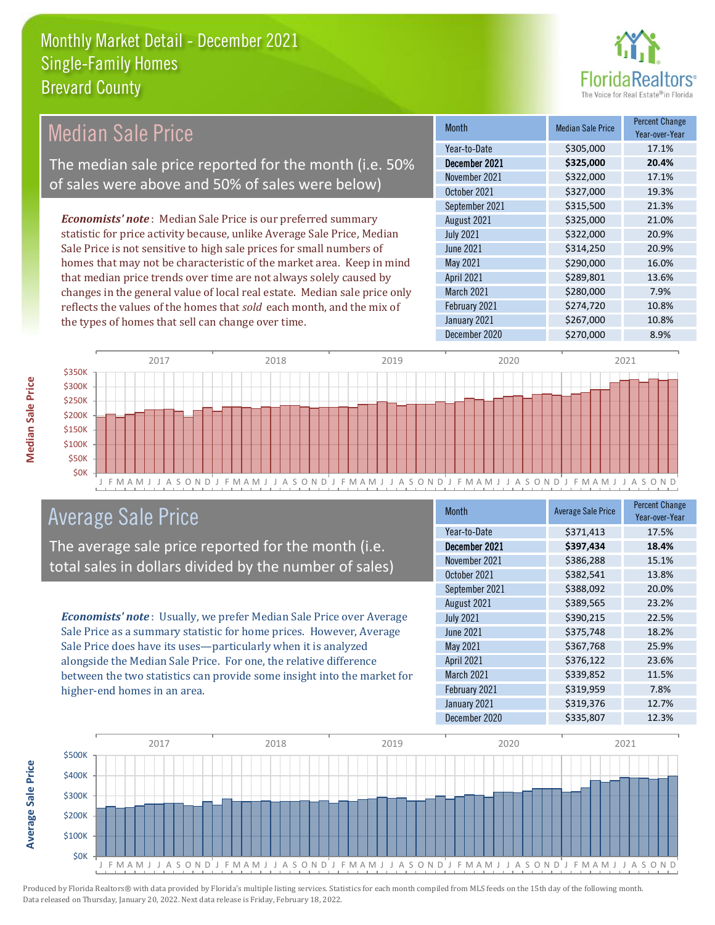

# Median Sale Price

The median sale price reported for the month (i.e. 50% of sales were above and 50% of sales were below)

*Economists' note* : Median Sale Price is our preferred summary statistic for price activity because, unlike Average Sale Price, Median Sale Price is not sensitive to high sale prices for small numbers of homes that may not be characteristic of the market area. Keep in mind that median price trends over time are not always solely caused by changes in the general value of local real estate. Median sale price only reflects the values of the homes that *sold* each month, and the mix of the types of homes that sell can change over time.

| <b>Month</b>      | <b>Median Sale Price</b> | <b>Percent Change</b><br>Year-over-Year |
|-------------------|--------------------------|-----------------------------------------|
| Year-to-Date      | \$305,000                | 17.1%                                   |
| December 2021     | \$325,000                | 20.4%                                   |
| November 2021     | \$322,000                | 17.1%                                   |
| October 2021      | \$327,000                | 19.3%                                   |
| September 2021    | \$315,500                | 21.3%                                   |
| August 2021       | \$325,000                | 21.0%                                   |
| <b>July 2021</b>  | \$322,000                | 20.9%                                   |
| <b>June 2021</b>  | \$314,250                | 20.9%                                   |
| May 2021          | \$290,000                | 16.0%                                   |
| <b>April 2021</b> | \$289,801                | 13.6%                                   |
| March 2021        | \$280,000                | 7.9%                                    |
| February 2021     | \$274,720                | 10.8%                                   |
| January 2021      | \$267,000                | 10.8%                                   |
| December 2020     | \$270,000                | 8.9%                                    |



### Average Sale Price

The average sale price reported for the month (i.e. total sales in dollars divided by the number of sales)

*Economists' note* : Usually, we prefer Median Sale Price over Average Sale Price as a summary statistic for home prices. However, Average Sale Price does have its uses—particularly when it is analyzed alongside the Median Sale Price. For one, the relative difference between the two statistics can provide some insight into the market for higher-end homes in an area.

| <b>Month</b>      | <b>Average Sale Price</b> | <b>Percent Change</b><br>Year-over-Year |
|-------------------|---------------------------|-----------------------------------------|
| Year-to-Date      | \$371,413                 | 17.5%                                   |
| December 2021     | \$397,434                 | 18.4%                                   |
| November 2021     | \$386,288                 | 15.1%                                   |
| October 2021      | \$382,541                 | 13.8%                                   |
| September 2021    | \$388,092                 | 20.0%                                   |
| August 2021       | \$389,565                 | 23.2%                                   |
| <b>July 2021</b>  | \$390,215                 | 22.5%                                   |
| <b>June 2021</b>  | \$375,748                 | 18.2%                                   |
| May 2021          | \$367,768                 | 25.9%                                   |
| <b>April 2021</b> | \$376,122                 | 23.6%                                   |
| March 2021        | \$339,852                 | 11.5%                                   |
| February 2021     | \$319,959                 | 7.8%                                    |
| January 2021      | \$319,376                 | 12.7%                                   |
| December 2020     | \$335,807                 | 12.3%                                   |



**Median Sale Price**

**Median Sale Price**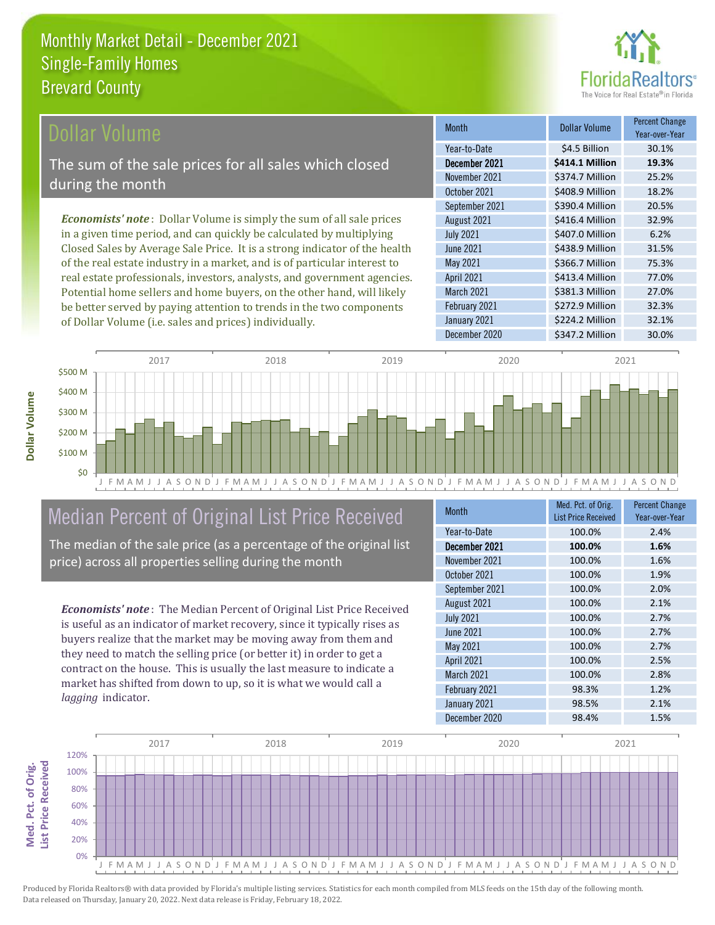

### ollar Volume

The sum of the sale prices for all sales which closed during the month

*Economists' note* : Dollar Volume is simply the sum of all sale prices in a given time period, and can quickly be calculated by multiplying Closed Sales by Average Sale Price. It is a strong indicator of the health of the real estate industry in a market, and is of particular interest to real estate professionals, investors, analysts, and government agencies. Potential home sellers and home buyers, on the other hand, will likely be better served by paying attention to trends in the two components of Dollar Volume (i.e. sales and prices) individually.

| <b>Month</b>      | Dollar Volume   | <b>Percent Change</b><br>Year-over-Year |
|-------------------|-----------------|-----------------------------------------|
| Year-to-Date      | \$4.5 Billion   | 30.1%                                   |
| December 2021     | \$414.1 Million | 19.3%                                   |
| November 2021     | \$374.7 Million | 25.2%                                   |
| October 2021      | \$408.9 Million | 18.2%                                   |
| September 2021    | \$390.4 Million | 20.5%                                   |
| August 2021       | \$416.4 Million | 32.9%                                   |
| <b>July 2021</b>  | \$407.0 Million | 6.2%                                    |
| <b>June 2021</b>  | \$438.9 Million | 31.5%                                   |
| May 2021          | \$366.7 Million | 75.3%                                   |
| <b>April 2021</b> | \$413.4 Million | 77.0%                                   |
| <b>March 2021</b> | \$381.3 Million | 27.0%                                   |
| February 2021     | \$272.9 Million | 32.3%                                   |
| January 2021      | \$224.2 Million | 32.1%                                   |
| December 2020     | \$347.2 Million | 30.0%                                   |



# Median Percent of Original List Price Received

The median of the sale price (as a percentage of the original list price) across all properties selling during the month

*Economists' note* : The Median Percent of Original List Price Received is useful as an indicator of market recovery, since it typically rises as buyers realize that the market may be moving away from them and they need to match the selling price (or better it) in order to get a contract on the house. This is usually the last measure to indicate a market has shifted from down to up, so it is what we would call a *lagging* indicator.

| <b>Month</b>      | Med. Pct. of Orig.<br><b>List Price Received</b> | <b>Percent Change</b><br>Year-over-Year |
|-------------------|--------------------------------------------------|-----------------------------------------|
| Year-to-Date      | 100.0%                                           | 2.4%                                    |
| December 2021     | 100.0%                                           | 1.6%                                    |
| November 2021     | 100.0%                                           | 1.6%                                    |
| October 2021      | 100.0%                                           | 1.9%                                    |
| September 2021    | 100.0%                                           | 2.0%                                    |
| August 2021       | 100.0%                                           | 2.1%                                    |
| <b>July 2021</b>  | 100.0%                                           | 2.7%                                    |
| <b>June 2021</b>  | 100.0%                                           | 2.7%                                    |
| May 2021          | 100.0%                                           | 2.7%                                    |
| <b>April 2021</b> | 100.0%                                           | 2.5%                                    |
| March 2021        | 100.0%                                           | 2.8%                                    |
| February 2021     | 98.3%                                            | 1.2%                                    |
| January 2021      | 98.5%                                            | 2.1%                                    |
| December 2020     | 98.4%                                            | 1.5%                                    |



Produced by Florida Realtors® with data provided by Florida's multiple listing services. Statistics for each month compiled from MLS feeds on the 15th day of the following month. Data released on Thursday, January 20, 2022. Next data release is Friday, February 18, 2022.

**Med. Pct. of Orig.** 

Med. Pct. of Orig.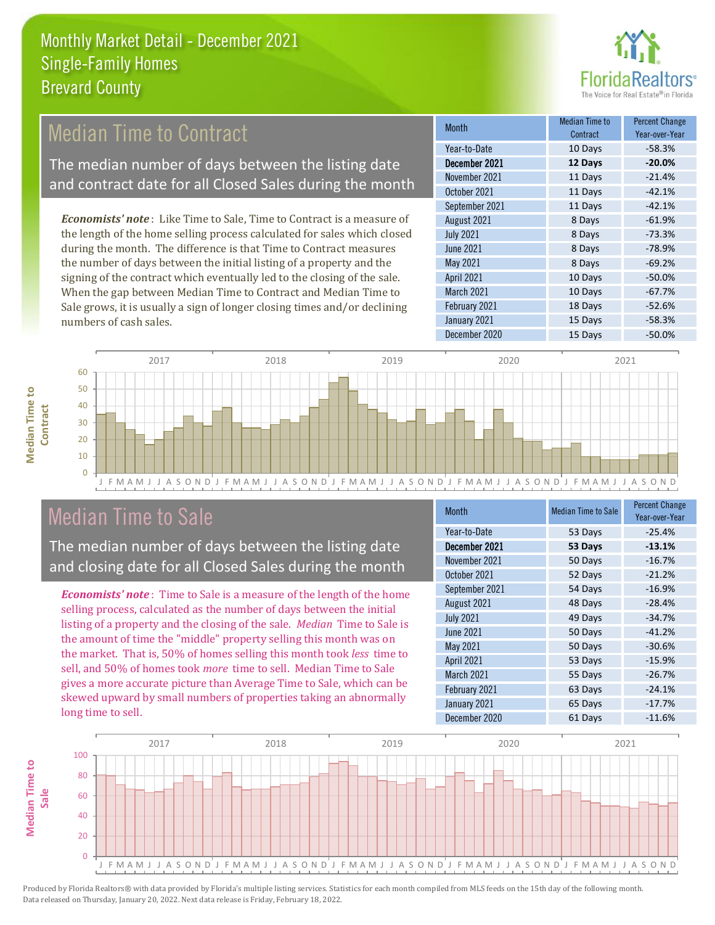

# Median Time to Contract

The median number of days between the listing date and contract date for all Closed Sales during the month

*Economists' note* : Like Time to Sale, Time to Contract is a measure of the length of the home selling process calculated for sales which closed during the month. The difference is that Time to Contract measures the number of days between the initial listing of a property and the signing of the contract which eventually led to the closing of the sale. When the gap between Median Time to Contract and Median Time to Sale grows, it is usually a sign of longer closing times and/or declining numbers of cash sales.

| Month             | Median Time to<br>Contract | <b>Percent Change</b><br>Year-over-Year |
|-------------------|----------------------------|-----------------------------------------|
| Year-to-Date      | 10 Days                    | $-58.3%$                                |
| December 2021     | 12 Days                    | $-20.0%$                                |
| November 2021     | 11 Days                    | $-21.4%$                                |
| October 2021      | 11 Days                    | $-42.1%$                                |
| September 2021    | 11 Days                    | $-42.1%$                                |
| August 2021       | 8 Days                     | $-61.9%$                                |
| <b>July 2021</b>  | 8 Days                     | $-73.3%$                                |
| <b>June 2021</b>  | 8 Days                     | $-78.9%$                                |
| May 2021          | 8 Days                     | $-69.2%$                                |
| <b>April 2021</b> | 10 Days                    | $-50.0%$                                |
| March 2021        | 10 Days                    | $-67.7%$                                |
| February 2021     | 18 Days                    | $-52.6%$                                |
| January 2021      | 15 Days                    | $-58.3%$                                |
| December 2020     | 15 Days                    | $-50.0%$                                |



# Median Time to Sale

**Median Time to** 

**Median Time to** 

The median number of days between the listing date and closing date for all Closed Sales during the month

*Economists' note* : Time to Sale is a measure of the length of the home selling process, calculated as the number of days between the initial listing of a property and the closing of the sale. *Median* Time to Sale is the amount of time the "middle" property selling this month was on the market. That is, 50% of homes selling this month took *less* time to sell, and 50% of homes took *more* time to sell. Median Time to Sale gives a more accurate picture than Average Time to Sale, which can be skewed upward by small numbers of properties taking an abnormally long time to sell.

| Month             | <b>Median Time to Sale</b> | <b>Percent Change</b><br>Year-over-Year |
|-------------------|----------------------------|-----------------------------------------|
| Year-to-Date      | 53 Days                    | $-25.4%$                                |
| December 2021     | 53 Days                    | $-13.1%$                                |
| November 2021     | 50 Days                    | $-16.7%$                                |
| October 2021      | 52 Days                    | $-21.2%$                                |
| September 2021    | 54 Days                    | $-16.9%$                                |
| August 2021       | 48 Days                    | $-28.4%$                                |
| <b>July 2021</b>  | 49 Days                    | $-34.7%$                                |
| June 2021         | 50 Days                    | $-41.2%$                                |
| <b>May 2021</b>   | 50 Days                    | $-30.6%$                                |
| <b>April 2021</b> | 53 Days                    | $-15.9%$                                |
| March 2021        | 55 Days                    | $-26.7%$                                |
| February 2021     | 63 Days                    | $-24.1%$                                |
| January 2021      | 65 Days                    | $-17.7%$                                |
| December 2020     | 61 Days                    | $-11.6%$                                |

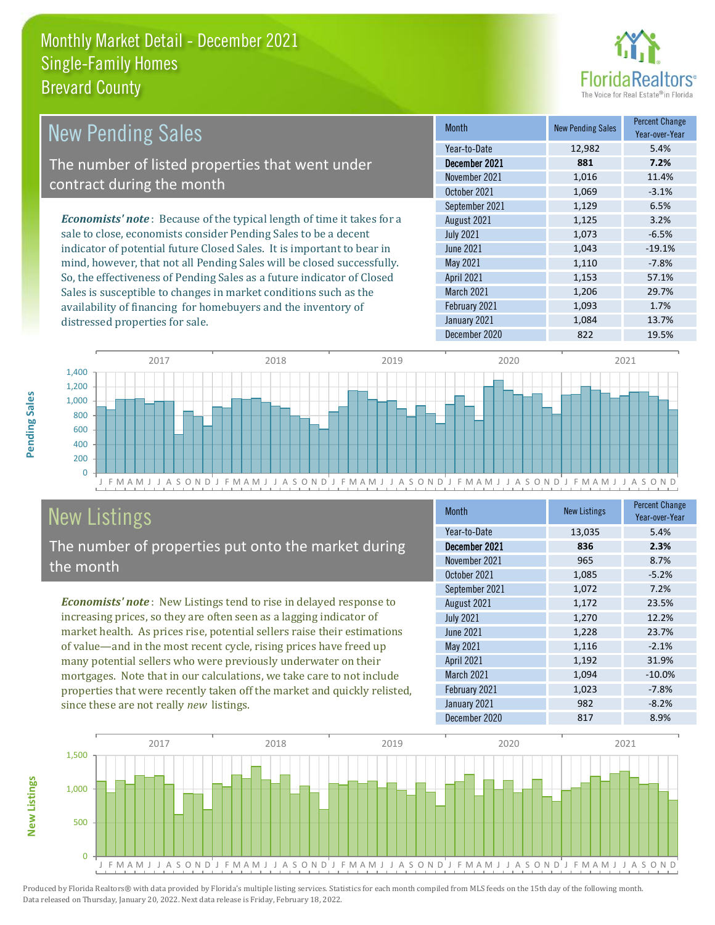

#### *Economists' note* : Because of the typical length of time it takes for a sale to close, economists consider Pending Sales to be a decent indicator of potential future Closed Sales. It is important to bear in mind, however, that not all Pending Sales will be closed successfully. So, the effectiveness of Pending Sales as a future indicator of Closed Month New Pending Sales Percent Change Year-over-Year December 2021 **881 7.2%** Year-to-Date 12,982 5.4% May 2021 1,110 -7.8% November 2021 1,016 11.4% October 2021 1,069 -3.1% July 2021 **1,073** -6.5% June 2021 1,043 -19.1% September 2021 1,129 6.5% August 2021 1,125 3.2% April 2021 1,153 57.1% New Pending Sales The number of listed properties that went under contract during the month

J F M A M J J A S O N D J F M A M J J A S O N D J F M A M J J A S O N D J F M A M J J A S O N D J F M A M J J A S O N D  $\Omega$ 200 400 600 800 1,000 1,200 1,400 2017 2018 2019 2020 2021

# New Listings

distressed properties for sale.

The number of properties put onto the market during the month

Sales is susceptible to changes in market conditions such as the availability of financing for homebuyers and the inventory of

*Economists' note* : New Listings tend to rise in delayed response to increasing prices, so they are often seen as a lagging indicator of market health. As prices rise, potential sellers raise their estimations of value—and in the most recent cycle, rising prices have freed up many potential sellers who were previously underwater on their mortgages. Note that in our calculations, we take care to not include properties that were recently taken off the market and quickly relisted, since these are not really *new* listings.

| <b>Month</b>      | <b>New Listings</b> | <b>Percent Change</b><br>Year-over-Year |
|-------------------|---------------------|-----------------------------------------|
| Year-to-Date      | 13,035              | 5.4%                                    |
| December 2021     | 836                 | 2.3%                                    |
| November 2021     | 965                 | 8.7%                                    |
| October 2021      | 1,085               | $-5.2%$                                 |
| September 2021    | 1,072               | 7.2%                                    |
| August 2021       | 1,172               | 23.5%                                   |
| <b>July 2021</b>  | 1,270               | 12.2%                                   |
| <b>June 2021</b>  | 1,228               | 23.7%                                   |
| May 2021          | 1,116               | $-2.1%$                                 |
| <b>April 2021</b> | 1,192               | 31.9%                                   |
| March 2021        | 1,094               | $-10.0%$                                |
| February 2021     | 1,023               | $-7.8%$                                 |
| January 2021      | 982                 | $-8.2%$                                 |
| December 2020     | 817                 | 8.9%                                    |

March 2021 1,206 29.7% February 2021 1,093 1.7% January 2021 1,084 13.7% December 2020 822 19.5%



Produced by Florida Realtors® with data provided by Florida's multiple listing services. Statistics for each month compiled from MLS feeds on the 15th day of the following month. Data released on Thursday, January 20, 2022. Next data release is Friday, February 18, 2022.

**New Listings**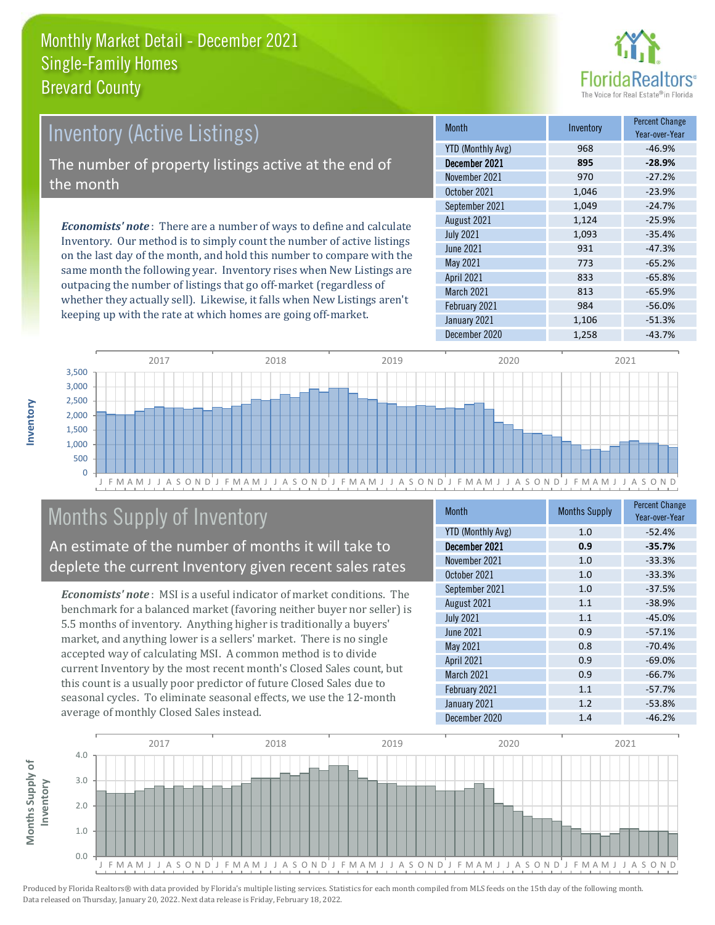

# Inventory (Active Listings)

The number of property listings active at the end of the month

*Economists' note* : There are a number of ways to define and calculate Inventory. Our method is to simply count the number of active listings on the last day of the month, and hold this number to compare with the same month the following year. Inventory rises when New Listings are outpacing the number of listings that go off-market (regardless of whether they actually sell). Likewise, it falls when New Listings aren't keeping up with the rate at which homes are going off-market.

| Month                    | Inventory | <b>Percent Change</b><br>Year-over-Year |
|--------------------------|-----------|-----------------------------------------|
| <b>YTD (Monthly Avg)</b> | 968       | $-46.9%$                                |
| December 2021            | 895       | $-28.9%$                                |
| November 2021            | 970       | $-27.2%$                                |
| October 2021             | 1,046     | $-23.9%$                                |
| September 2021           | 1,049     | $-24.7%$                                |
| August 2021              | 1,124     | $-25.9%$                                |
| <b>July 2021</b>         | 1,093     | $-35.4%$                                |
| <b>June 2021</b>         | 931       | $-47.3%$                                |
| May 2021                 | 773       | $-65.2%$                                |
| <b>April 2021</b>        | 833       | $-65.8%$                                |
| March 2021               | 813       | $-65.9%$                                |
| February 2021            | 984       | $-56.0%$                                |
| January 2021             | 1,106     | $-51.3%$                                |
| December 2020            | 1,258     | $-43.7%$                                |



# Months Supply of Inventory

An estimate of the number of months it will take to deplete the current Inventory given recent sales rates

*Economists' note* : MSI is a useful indicator of market conditions. The benchmark for a balanced market (favoring neither buyer nor seller) is 5.5 months of inventory. Anything higher is traditionally a buyers' market, and anything lower is a sellers' market. There is no single accepted way of calculating MSI. A common method is to divide current Inventory by the most recent month's Closed Sales count, but this count is a usually poor predictor of future Closed Sales due to seasonal cycles. To eliminate seasonal effects, we use the 12-month average of monthly Closed Sales instead.

| <b>Month</b>             | <b>Months Supply</b> | <b>Percent Change</b><br>Year-over-Year |
|--------------------------|----------------------|-----------------------------------------|
| <b>YTD (Monthly Avg)</b> | 1.0                  | $-52.4%$                                |
| December 2021            | 0.9                  | $-35.7%$                                |
| November 2021            | 1.0                  | $-33.3%$                                |
| October 2021             | 1.0                  | $-33.3%$                                |
| September 2021           | 1.0                  | $-37.5%$                                |
| August 2021              | 1.1                  | $-38.9%$                                |
| <b>July 2021</b>         | 1.1                  | $-45.0%$                                |
| June 2021                | 0.9                  | $-57.1%$                                |
| May 2021                 | 0.8                  | $-70.4%$                                |
| <b>April 2021</b>        | 0.9                  | $-69.0%$                                |
| March 2021               | 0.9                  | $-66.7%$                                |
| February 2021            | 1.1                  | $-57.7%$                                |
| January 2021             | 1.2                  | $-53.8%$                                |
| December 2020            | 1.4                  | $-46.2%$                                |

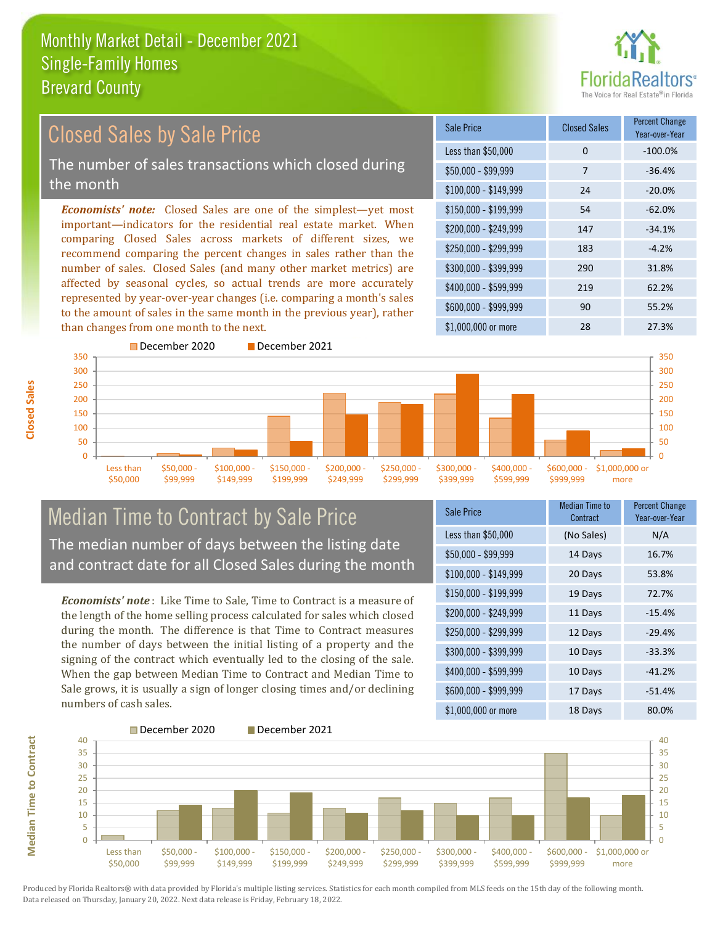

#### *Economists' note:* Closed Sales are one of the simplest—yet most important—indicators for the residential real estate market. When comparing Closed Sales across markets of different sizes, we recommend comparing the percent changes in sales rather than the number of sales. Closed Sales (and many other market metrics) are affected by seasonal cycles, so actual trends are more accurately represented by year-over-year changes (i.e. comparing a month's sales to the amount of sales in the same month in the previous year), rather than changes from one month to the next. \$1,000,000 or more 28 27.3%  $$250,000 - $299,999$  183 -4.2% \$300,000 - \$399,999 290 31.8% \$400,000 - \$599,999 219 62.2% \$600,000 - \$999,999 90 55.2% \$150,000 - \$199,999 54 -62.0% \$200,000 - \$249,999 147 -34.1%  $$100,000 - $149,999$  24 -20.0% Sale Price Closed Sales Percent Change Year-over-Year Less than \$50,000 0 0 -100.0%  $$50.000 - $99.999$  7 -36.4% 150 200 250 300 350 December 2020 December 2021 150 200 250 300 350 Closed Sales by Sale Price The number of sales transactions which closed during the month

# Median Time to Contract by Sale Price The median number of days between the listing date and contract date for all Closed Sales during the month

\$100,000 - \$149,999

\$150,000 - \$199,999

\$200,000 - \$249,999

\$250,000 - \$299,999

\$300,000 - \$399,999

\$400,000 - \$599,999

\$50,000 - \$99,999

*Economists' note* : Like Time to Sale, Time to Contract is a measure of the length of the home selling process calculated for sales which closed during the month. The difference is that Time to Contract measures the number of days between the initial listing of a property and the signing of the contract which eventually led to the closing of the sale. When the gap between Median Time to Contract and Median Time to Sale grows, it is usually a sign of longer closing times and/or declining numbers of cash sales.

| <b>Sale Price</b>     | <b>Median Time to</b><br>Contract | <b>Percent Change</b><br>Year-over-Year |
|-----------------------|-----------------------------------|-----------------------------------------|
| Less than \$50,000    | (No Sales)                        | N/A                                     |
| \$50,000 - \$99,999   | 14 Days                           | 16.7%                                   |
| $$100,000 - $149,999$ | 20 Days                           | 53.8%                                   |
| $$150,000 - $199,999$ | 19 Days                           | 72.7%                                   |
| \$200,000 - \$249,999 | 11 Days                           | $-15.4%$                                |
| \$250,000 - \$299,999 | 12 Days                           | $-29.4%$                                |
| \$300,000 - \$399,999 | 10 Days                           | $-33.3%$                                |
| \$400,000 - \$599,999 | 10 Days                           | $-41.2%$                                |
| \$600,000 - \$999,999 | 17 Days                           | $-51.4%$                                |
| \$1,000,000 or more   | 18 Days                           | 80.0%                                   |

\$600,000 - \$999,999 \$1,000,000 or more

 $\Omega$ 50 100



Less than \$50,000

 $\Omega$ 50 100

**Closed Sales**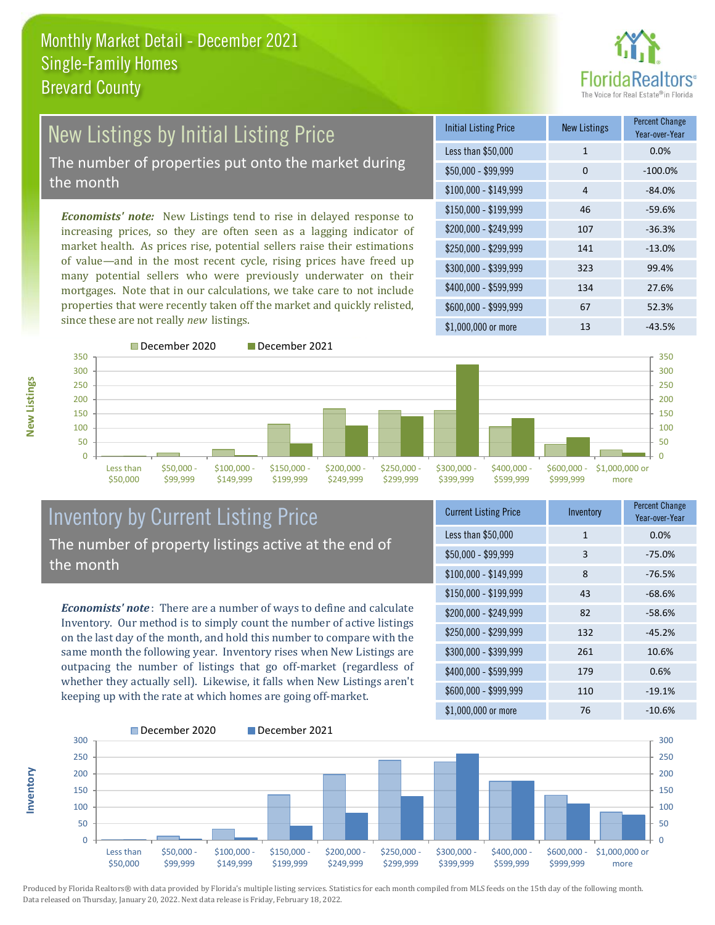

# New Listings by Initial Listing Price The number of properties put onto the market during

the month

\$50,000

\$99,999

*Economists' note:* New Listings tend to rise in delayed response to increasing prices, so they are often seen as a lagging indicator of market health. As prices rise, potential sellers raise their estimations of value—and in the most recent cycle, rising prices have freed up many potential sellers who were previously underwater on their mortgages. Note that in our calculations, we take care to not include properties that were recently taken off the market and quickly relisted, since these are not really *new* listings.

| <b>Initial Listing Price</b> | <b>New Listings</b> | <b>Percent Change</b><br>Year-over-Year |
|------------------------------|---------------------|-----------------------------------------|
| Less than \$50,000           | $\mathbf{1}$        | 0.0%                                    |
| $$50,000 - $99,999$          | $\Omega$            | $-100.0%$                               |
| $$100,000 - $149,999$        | 4                   | $-84.0%$                                |
| $$150,000 - $199,999$        | 46                  | $-59.6%$                                |
| \$200,000 - \$249,999        | 107                 | $-36.3%$                                |
| \$250,000 - \$299,999        | 141                 | $-13.0%$                                |
| \$300,000 - \$399,999        | 323                 | 99.4%                                   |
| \$400,000 - \$599,999        | 134                 | 27.6%                                   |
| \$600,000 - \$999,999        | 67                  | 52.3%                                   |
| \$1,000,000 or more          | 13                  | $-43.5%$                                |



**Inventory**



December 2020 December 2021

\$149,999

\$199,999

\$249,999



#### Inventory by Current Listing Price The number of property listings active at the end of the month

*Economists' note* : There are a number of ways to define and calculate Inventory. Our method is to simply count the number of active listings on the last day of the month, and hold this number to compare with the same month the following year. Inventory rises when New Listings are outpacing the number of listings that go off-market (regardless of whether they actually sell). Likewise, it falls when New Listings aren't keeping up with the rate at which homes are going off-market.

| <b>Current Listing Price</b> | Inventory    | <b>Percent Change</b><br>Year-over-Year |
|------------------------------|--------------|-----------------------------------------|
| Less than \$50,000           | $\mathbf{1}$ | 0.0%                                    |
| $$50,000 - $99,999$          | 3            | $-75.0%$                                |
| $$100,000 - $149,999$        | 8            | $-76.5%$                                |
| $$150,000 - $199,999$        | 43           | $-68.6%$                                |
| \$200,000 - \$249,999        | 82           | $-58.6%$                                |
| \$250,000 - \$299,999        | 132          | $-45.2%$                                |
| \$300,000 - \$399,999        | 261          | 10.6%                                   |
| \$400,000 - \$599,999        | 179          | 0.6%                                    |
| \$600,000 - \$999,999        | 110          | $-19.1%$                                |
| \$1,000,000 or more          | 76           | $-10.6%$                                |